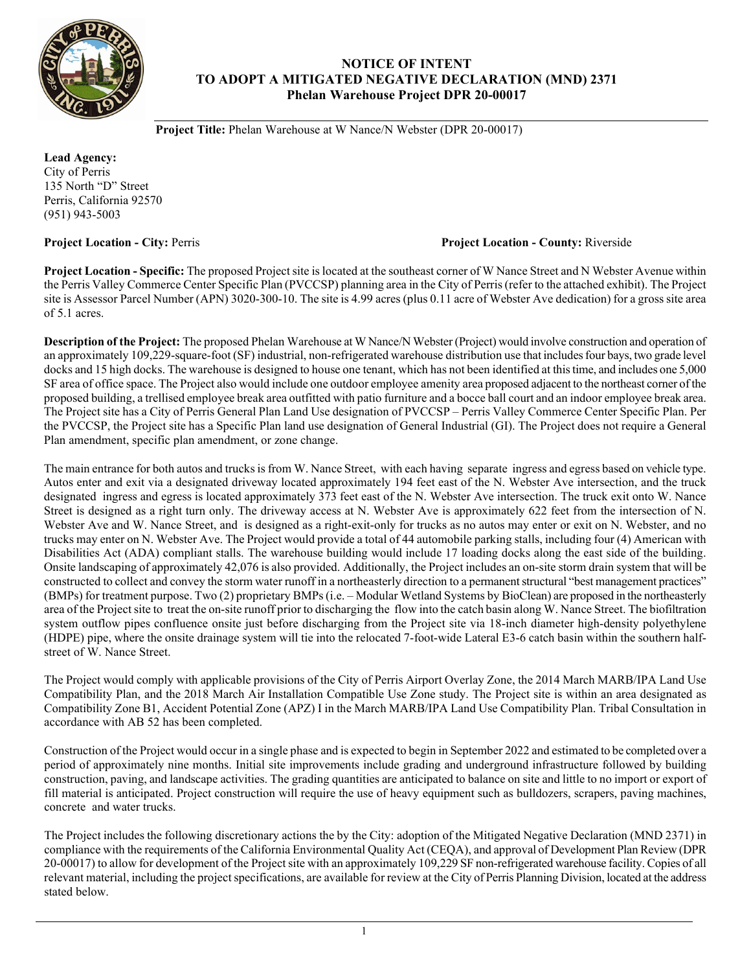

## **NOTICE OF INTENT TO ADOPT A MITIGATED NEGATIVE DECLARATION (MND) 2371 Phelan Warehouse Project DPR 20-00017**

**Project Title:** Phelan Warehouse at W Nance/N Webster (DPR 20-00017)

**Lead Agency:** City of Perris 135 North "D" Street Perris, California 92570 (951) 943-5003

## **Project Location - City:** Perris **Project Location - County:** Riverside

**Project Location - Specific:** The proposed Project site is located at the southeast corner of W Nance Street and N Webster Avenue within the Perris Valley Commerce Center Specific Plan (PVCCSP) planning area in the City of Perris(refer to the attached exhibit). The Project site is Assessor Parcel Number (APN) 3020-300-10. The site is 4.99 acres (plus 0.11 acre of Webster Ave dedication) for a gross site area of 5.1 acres.

**Description of the Project:** The proposed Phelan Warehouse at W Nance/N Webster (Project) would involve construction and operation of an approximately 109,229-square-foot (SF) industrial, non-refrigerated warehouse distribution use that includesfour bays, two grade level docks and 15 high docks. The warehouse is designed to house one tenant, which has not been identified at this time, and includes one 5,000 SF area of office space. The Project also would include one outdoor employee amenity area proposed adjacent to the northeast corner of the proposed building, a trellised employee break area outfitted with patio furniture and a bocce ball court and an indoor employee break area. The Project site has a City of Perris General Plan Land Use designation of PVCCSP – Perris Valley Commerce Center Specific Plan. Per the PVCCSP, the Project site has a Specific Plan land use designation of General Industrial (GI). The Project does not require a General Plan amendment, specific plan amendment, or zone change.

The main entrance for both autos and trucks is from W. Nance Street, with each having separate ingress and egress based on vehicle type. Autos enter and exit via a designated driveway located approximately 194 feet east of the N. Webster Ave intersection, and the truck designated ingress and egress is located approximately 373 feet east of the N. Webster Ave intersection. The truck exit onto W. Nance Street is designed as a right turn only. The driveway access at N. Webster Ave is approximately 622 feet from the intersection of N. Webster Ave and W. Nance Street, and is designed as a right-exit-only for trucks as no autos may enter or exit on N. Webster, and no trucks may enter on N. Webster Ave. The Project would provide a total of 44 automobile parking stalls, including four (4) American with Disabilities Act (ADA) compliant stalls. The warehouse building would include 17 loading docks along the east side of the building. Onsite landscaping of approximately 42,076 is also provided. Additionally, the Project includes an on-site storm drain system that will be constructed to collect and convey the storm water runoff in a northeasterly direction to a permanent structural "best management practices" (BMPs) for treatment purpose. Two (2) proprietary BMPs (i.e. – Modular Wetland Systems by BioClean) are proposed in the northeasterly area of the Project site to treat the on-site runoff prior to discharging the flow into the catch basin along W. Nance Street. The biofiltration system outflow pipes confluence onsite just before discharging from the Project site via 18-inch diameter high-density polyethylene (HDPE) pipe, where the onsite drainage system will tie into the relocated 7-foot-wide Lateral E3-6 catch basin within the southern halfstreet of W. Nance Street.

The Project would comply with applicable provisions of the City of Perris Airport Overlay Zone, the 2014 March MARB/IPA Land Use Compatibility Plan, and the 2018 March Air Installation Compatible Use Zone study. The Project site is within an area designated as Compatibility Zone B1, Accident Potential Zone (APZ) I in the March MARB/IPA Land Use Compatibility Plan. Tribal Consultation in accordance with AB 52 has been completed.

Construction of the Project would occur in a single phase and is expected to begin in September 2022 and estimated to be completed over a period of approximately nine months. Initial site improvements include grading and underground infrastructure followed by building construction, paving, and landscape activities. The grading quantities are anticipated to balance on site and little to no import or export of fill material is anticipated. Project construction will require the use of heavy equipment such as bulldozers, scrapers, paving machines, concrete and water trucks.

The Project includes the following discretionary actions the by the City: adoption of the Mitigated Negative Declaration (MND 2371) in compliance with the requirements of the California Environmental Quality Act (CEQA), and approval of Development Plan Review (DPR 20-00017) to allow for development of the Project site with an approximately 109,229 SF non-refrigerated warehouse facility. Copies of all relevant material, including the project specifications, are available for review at the City of Perris Planning Division, located at the address stated below.